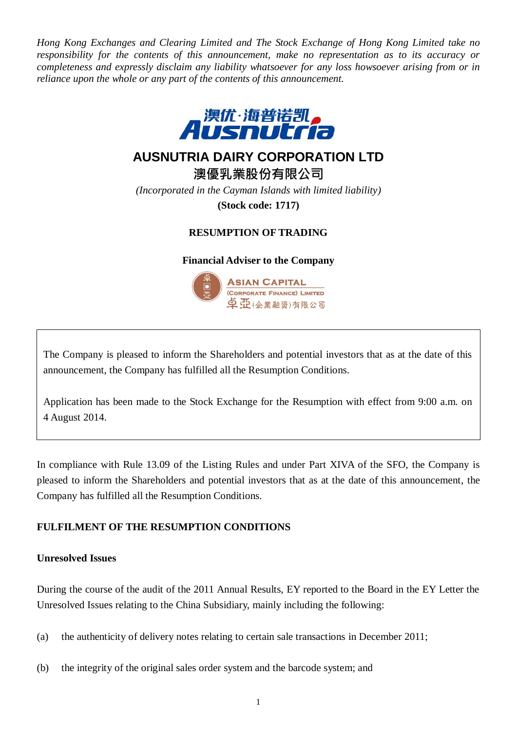*Hong Kong Exchanges and Clearing Limited and The Stock Exchange of Hong Kong Limited take no responsibility for the contents of this announcement, make no representation as to its accuracy or completeness and expressly disclaim any liability whatsoever for any loss howsoever arising from or in reliance upon the whole or any part of the contents of this announcement.*



# **AUSNUTRIA DAIRY CORPORATION LTD**

**澳優乳業股份有限公司**

*(Incorporated in the Cayman Islands with limited liability)*

**(Stock code: 1717)**

# **RESUMPTION OF TRADING**

**Financial Adviser to the Company**



The Company is pleased to inform the Shareholders and potential investors that as at the date of this announcement, the Company has fulfilled all the Resumption Conditions.

Application has been made to the Stock Exchange for the Resumption with effect from 9:00 a.m. on 4 August 2014.

In compliance with Rule 13.09 of the Listing Rules and under Part XIVA of the SFO, the Company is pleased to inform the Shareholders and potential investors that as at the date of this announcement, the Company has fulfilled all the Resumption Conditions.

# **FULFILMENT OF THE RESUMPTION CONDITIONS**

# **Unresolved Issues**

During the course of the audit of the 2011 Annual Results, EY reported to the Board in the EY Letter the Unresolved Issues relating to the China Subsidiary, mainly including the following:

- (a) the authenticity of delivery notes relating to certain sale transactions in December 2011;
- (b) the integrity of the original sales order system and the barcode system; and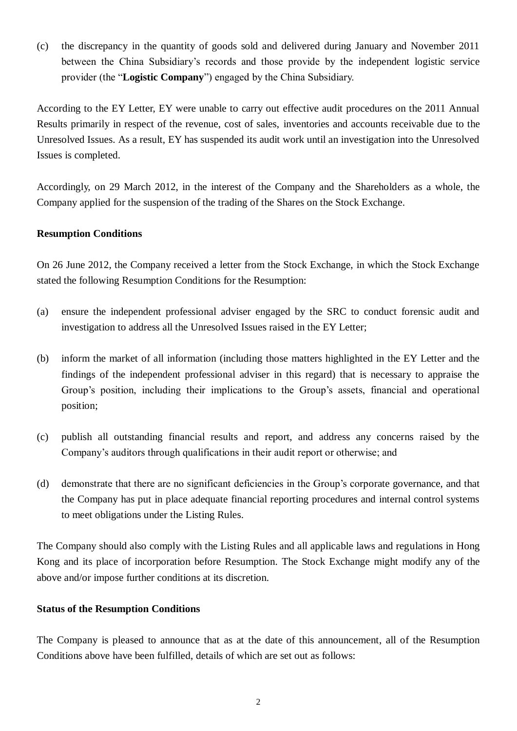(c) the discrepancy in the quantity of goods sold and delivered during January and November 2011 between the China Subsidiary's records and those provide by the independent logistic service provider (the "**Logistic Company**") engaged by the China Subsidiary.

According to the EY Letter, EY were unable to carry out effective audit procedures on the 2011 Annual Results primarily in respect of the revenue, cost of sales, inventories and accounts receivable due to the Unresolved Issues. As a result, EY has suspended its audit work until an investigation into the Unresolved Issues is completed.

Accordingly, on 29 March 2012, in the interest of the Company and the Shareholders as a whole, the Company applied for the suspension of the trading of the Shares on the Stock Exchange.

# **Resumption Conditions**

On 26 June 2012, the Company received a letter from the Stock Exchange, in which the Stock Exchange stated the following Resumption Conditions for the Resumption:

- (a) ensure the independent professional adviser engaged by the SRC to conduct forensic audit and investigation to address all the Unresolved Issues raised in the EY Letter;
- (b) inform the market of all information (including those matters highlighted in the EY Letter and the findings of the independent professional adviser in this regard) that is necessary to appraise the Group's position, including their implications to the Group's assets, financial and operational position;
- (c) publish all outstanding financial results and report, and address any concerns raised by the Company's auditors through qualifications in their audit report or otherwise; and
- (d) demonstrate that there are no significant deficiencies in the Group's corporate governance, and that the Company has put in place adequate financial reporting procedures and internal control systems to meet obligations under the Listing Rules.

The Company should also comply with the Listing Rules and all applicable laws and regulations in Hong Kong and its place of incorporation before Resumption. The Stock Exchange might modify any of the above and/or impose further conditions at its discretion.

# **Status of the Resumption Conditions**

The Company is pleased to announce that as at the date of this announcement, all of the Resumption Conditions above have been fulfilled, details of which are set out as follows: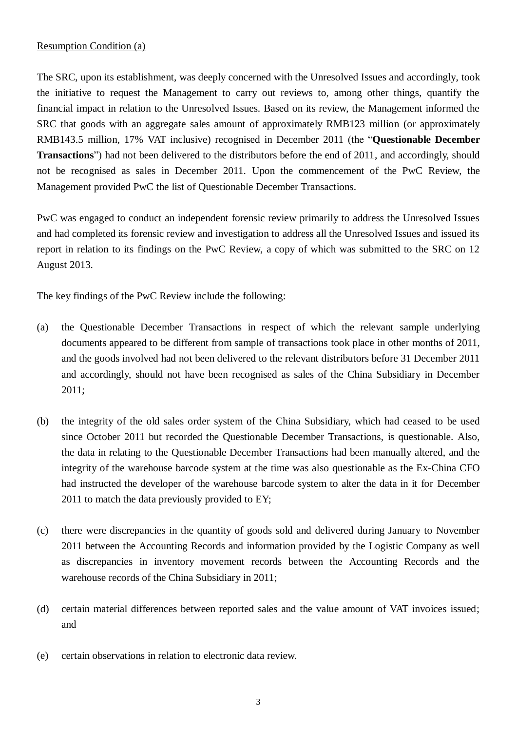# Resumption Condition (a)

The SRC, upon its establishment, was deeply concerned with the Unresolved Issues and accordingly, took the initiative to request the Management to carry out reviews to, among other things, quantify the financial impact in relation to the Unresolved Issues. Based on its review, the Management informed the SRC that goods with an aggregate sales amount of approximately RMB123 million (or approximately RMB143.5 million, 17% VAT inclusive) recognised in December 2011 (the "**Questionable December Transactions**") had not been delivered to the distributors before the end of 2011, and accordingly, should not be recognised as sales in December 2011. Upon the commencement of the PwC Review, the Management provided PwC the list of Questionable December Transactions.

PwC was engaged to conduct an independent forensic review primarily to address the Unresolved Issues and had completed its forensic review and investigation to address all the Unresolved Issues and issued its report in relation to its findings on the PwC Review, a copy of which was submitted to the SRC on 12 August 2013.

The key findings of the PwC Review include the following:

- (a) the Questionable December Transactions in respect of which the relevant sample underlying documents appeared to be different from sample of transactions took place in other months of 2011, and the goods involved had not been delivered to the relevant distributors before 31 December 2011 and accordingly, should not have been recognised as sales of the China Subsidiary in December 2011;
- (b) the integrity of the old sales order system of the China Subsidiary, which had ceased to be used since October 2011 but recorded the Questionable December Transactions, is questionable. Also, the data in relating to the Questionable December Transactions had been manually altered, and the integrity of the warehouse barcode system at the time was also questionable as the Ex-China CFO had instructed the developer of the warehouse barcode system to alter the data in it for December 2011 to match the data previously provided to EY;
- (c) there were discrepancies in the quantity of goods sold and delivered during January to November 2011 between the Accounting Records and information provided by the Logistic Company as well as discrepancies in inventory movement records between the Accounting Records and the warehouse records of the China Subsidiary in 2011;
- (d) certain material differences between reported sales and the value amount of VAT invoices issued; and
- (e) certain observations in relation to electronic data review.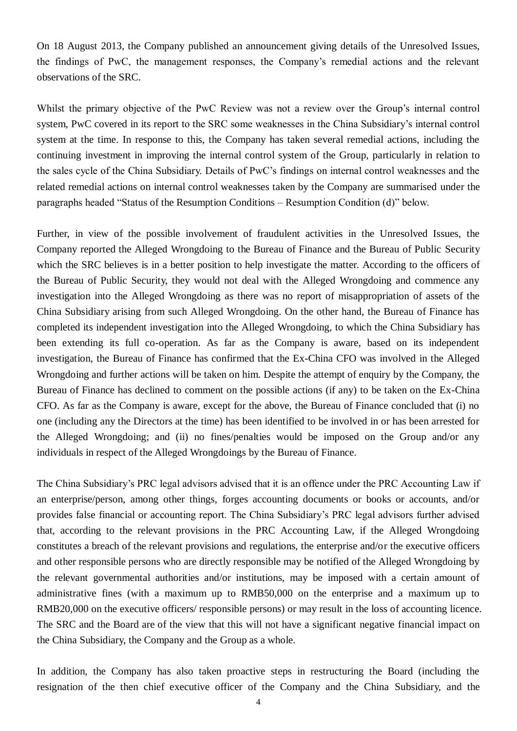On 18 August 2013, the Company published an announcement giving details of the Unresolved Issues, the findings of PwC, the management responses, the Company's remedial actions and the relevant observations of the SRC.

Whilst the primary objective of the PwC Review was not a review over the Group's internal control system, PwC covered in its report to the SRC some weaknesses in the China Subsidiary's internal control system at the time. In response to this, the Company has taken several remedial actions, including the continuing investment in improving the internal control system of the Group, particularly in relation to the sales cycle of the China Subsidiary. Details of PwC's findings on internal control weaknesses and the related remedial actions on internal control weaknesses taken by the Company are summarised under the paragraphs headed "Status of the Resumption Conditions – Resumption Condition (d)" below.

Further, in view of the possible involvement of fraudulent activities in the Unresolved Issues, the Company reported the Alleged Wrongdoing to the Bureau of Finance and the Bureau of Public Security which the SRC believes is in a better position to help investigate the matter. According to the officers of the Bureau of Public Security, they would not deal with the Alleged Wrongdoing and commence any investigation into the Alleged Wrongdoing as there was no report of misappropriation of assets of the China Subsidiary arising from such Alleged Wrongdoing. On the other hand, the Bureau of Finance has completed its independent investigation into the Alleged Wrongdoing, to which the China Subsidiary has been extending its full co-operation. As far as the Company is aware, based on its independent investigation, the Bureau of Finance has confirmed that the Ex-China CFO was involved in the Alleged Wrongdoing and further actions will be taken on him. Despite the attempt of enquiry by the Company, the Bureau of Finance has declined to comment on the possible actions (if any) to be taken on the Ex-China CFO. As far as the Company is aware, except for the above, the Bureau of Finance concluded that (i) no one (including any the Directors at the time) has been identified to be involved in or has been arrested for the Alleged Wrongdoing; and (ii) no fines/penalties would be imposed on the Group and/or any individuals in respect of the Alleged Wrongdoings by the Bureau of Finance.

The China Subsidiary's PRC legal advisors advised that it is an offence under the PRC Accounting Law if an enterprise/person, among other things, forges accounting documents or books or accounts, and/or provides false financial or accounting report. The China Subsidiary's PRC legal advisors further advised that, according to the relevant provisions in the PRC Accounting Law, if the Alleged Wrongdoing constitutes a breach of the relevant provisions and regulations, the enterprise and/or the executive officers and other responsible persons who are directly responsible may be notified of the Alleged Wrongdoing by the relevant governmental authorities and/or institutions, may be imposed with a certain amount of administrative fines (with a maximum up to RMB50,000 on the enterprise and a maximum up to RMB20,000 on the executive officers/ responsible persons) or may result in the loss of accounting licence. The SRC and the Board are of the view that this will not have a significant negative financial impact on the China Subsidiary, the Company and the Group as a whole.

In addition, the Company has also taken proactive steps in restructuring the Board (including the resignation of the then chief executive officer of the Company and the China Subsidiary, and the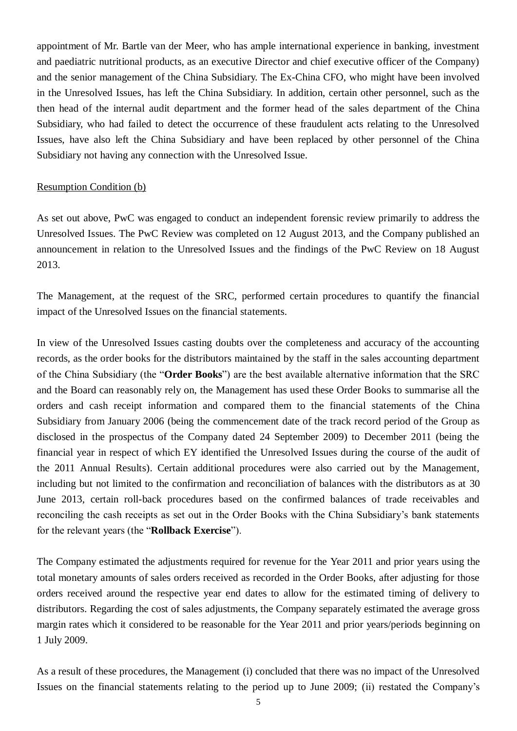appointment of Mr. Bartle van der Meer, who has ample international experience in banking, investment and paediatric nutritional products, as an executive Director and chief executive officer of the Company) and the senior management of the China Subsidiary. The Ex-China CFO, who might have been involved in the Unresolved Issues, has left the China Subsidiary. In addition, certain other personnel, such as the then head of the internal audit department and the former head of the sales department of the China Subsidiary, who had failed to detect the occurrence of these fraudulent acts relating to the Unresolved Issues, have also left the China Subsidiary and have been replaced by other personnel of the China Subsidiary not having any connection with the Unresolved Issue.

#### Resumption Condition (b)

As set out above, PwC was engaged to conduct an independent forensic review primarily to address the Unresolved Issues. The PwC Review was completed on 12 August 2013, and the Company published an announcement in relation to the Unresolved Issues and the findings of the PwC Review on 18 August 2013.

The Management, at the request of the SRC, performed certain procedures to quantify the financial impact of the Unresolved Issues on the financial statements.

In view of the Unresolved Issues casting doubts over the completeness and accuracy of the accounting records, as the order books for the distributors maintained by the staff in the sales accounting department of the China Subsidiary (the "**Order Books**") are the best available alternative information that the SRC and the Board can reasonably rely on, the Management has used these Order Books to summarise all the orders and cash receipt information and compared them to the financial statements of the China Subsidiary from January 2006 (being the commencement date of the track record period of the Group as disclosed in the prospectus of the Company dated 24 September 2009) to December 2011 (being the financial year in respect of which EY identified the Unresolved Issues during the course of the audit of the 2011 Annual Results). Certain additional procedures were also carried out by the Management, including but not limited to the confirmation and reconciliation of balances with the distributors as at 30 June 2013, certain roll-back procedures based on the confirmed balances of trade receivables and reconciling the cash receipts as set out in the Order Books with the China Subsidiary's bank statements for the relevant years (the "**Rollback Exercise**").

The Company estimated the adjustments required for revenue for the Year 2011 and prior years using the total monetary amounts of sales orders received as recorded in the Order Books, after adjusting for those orders received around the respective year end dates to allow for the estimated timing of delivery to distributors. Regarding the cost of sales adjustments, the Company separately estimated the average gross margin rates which it considered to be reasonable for the Year 2011 and prior years/periods beginning on 1 July 2009.

As a result of these procedures, the Management (i) concluded that there was no impact of the Unresolved Issues on the financial statements relating to the period up to June 2009; (ii) restated the Company's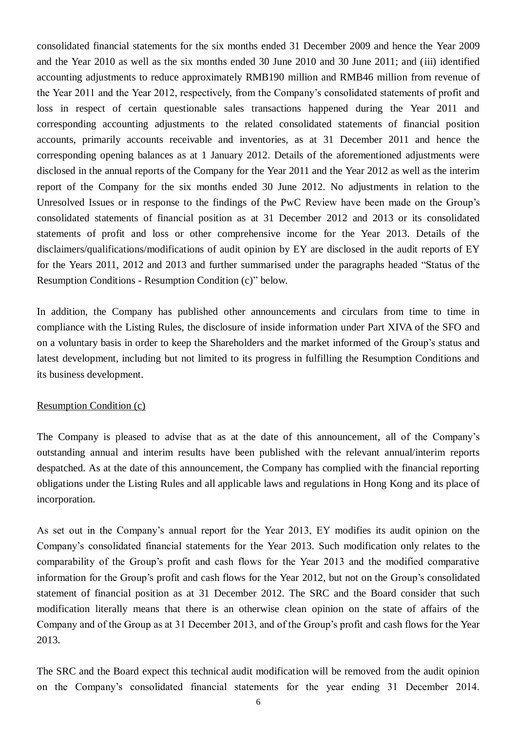consolidated financial statements for the six months ended 31 December 2009 and hence the Year 2009 and the Year 2010 as well as the six months ended 30 June 2010 and 30 June 2011; and (iii) identified accounting adjustments to reduce approximately RMB190 million and RMB46 million from revenue of the Year 2011 and the Year 2012, respectively, from the Company's consolidated statements of profit and loss in respect of certain questionable sales transactions happened during the Year 2011 and corresponding accounting adjustments to the related consolidated statements of financial position accounts, primarily accounts receivable and inventories, as at 31 December 2011 and hence the corresponding opening balances as at 1 January 2012. Details of the aforementioned adjustments were disclosed in the annual reports of the Company for the Year 2011 and the Year 2012 as well as the interim report of the Company for the six months ended 30 June 2012. No adjustments in relation to the Unresolved Issues or in response to the findings of the PwC Review have been made on the Group's consolidated statements of financial position as at 31 December 2012 and 2013 or its consolidated statements of profit and loss or other comprehensive income for the Year 2013. Details of the disclaimers/qualifications/modifications of audit opinion by EY are disclosed in the audit reports of EY for the Years 2011, 2012 and 2013 and further summarised under the paragraphs headed "Status of the Resumption Conditions - Resumption Condition (c)" below.

In addition, the Company has published other announcements and circulars from time to time in compliance with the Listing Rules, the disclosure of inside information under Part XIVA of the SFO and on a voluntary basis in order to keep the Shareholders and the market informed of the Group's status and latest development, including but not limited to its progress in fulfilling the Resumption Conditions and its business development.

#### Resumption Condition (c)

The Company is pleased to advise that as at the date of this announcement, all of the Company's outstanding annual and interim results have been published with the relevant annual/interim reports despatched. As at the date of this announcement, the Company has complied with the financial reporting obligations under the Listing Rules and all applicable laws and regulations in Hong Kong and its place of incorporation.

As set out in the Company's annual report for the Year 2013, EY modifies its audit opinion on the Company's consolidated financial statements for the Year 2013. Such modification only relates to the comparability of the Group's profit and cash flows for the Year 2013 and the modified comparative information for the Group's profit and cash flows for the Year 2012, but not on the Group's consolidated statement of financial position as at 31 December 2012. The SRC and the Board consider that such modification literally means that there is an otherwise clean opinion on the state of affairs of the Company and of the Group as at 31 December 2013, and of the Group's profit and cash flows for the Year 2013.

The SRC and the Board expect this technical audit modification will be removed from the audit opinion on the Company's consolidated financial statements for the year ending 31 December 2014.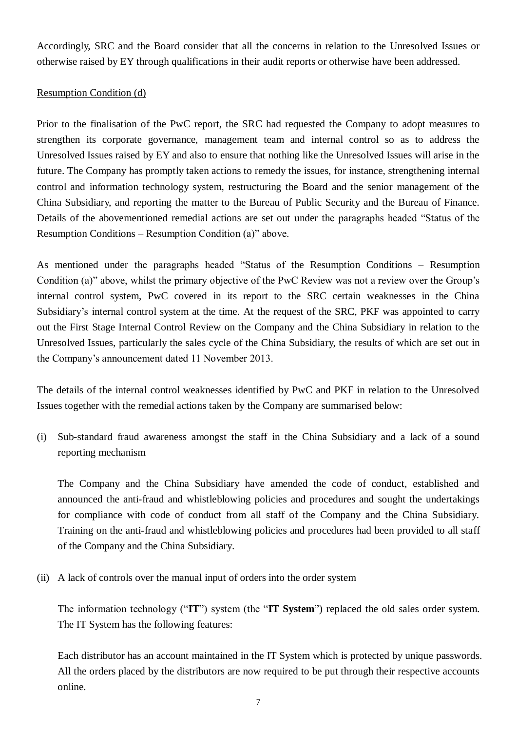Accordingly, SRC and the Board consider that all the concerns in relation to the Unresolved Issues or otherwise raised by EY through qualifications in their audit reports or otherwise have been addressed.

# Resumption Condition (d)

Prior to the finalisation of the PwC report, the SRC had requested the Company to adopt measures to strengthen its corporate governance, management team and internal control so as to address the Unresolved Issues raised by EY and also to ensure that nothing like the Unresolved Issues will arise in the future. The Company has promptly taken actions to remedy the issues, for instance, strengthening internal control and information technology system, restructuring the Board and the senior management of the China Subsidiary, and reporting the matter to the Bureau of Public Security and the Bureau of Finance. Details of the abovementioned remedial actions are set out under the paragraphs headed "Status of the Resumption Conditions – Resumption Condition (a)" above.

As mentioned under the paragraphs headed "Status of the Resumption Conditions – Resumption Condition (a)" above, whilst the primary objective of the PwC Review was not a review over the Group's internal control system, PwC covered in its report to the SRC certain weaknesses in the China Subsidiary's internal control system at the time. At the request of the SRC, PKF was appointed to carry out the First Stage Internal Control Review on the Company and the China Subsidiary in relation to the Unresolved Issues, particularly the sales cycle of the China Subsidiary, the results of which are set out in the Company's announcement dated 11 November 2013.

The details of the internal control weaknesses identified by PwC and PKF in relation to the Unresolved Issues together with the remedial actions taken by the Company are summarised below:

(i) Sub-standard fraud awareness amongst the staff in the China Subsidiary and a lack of a sound reporting mechanism

The Company and the China Subsidiary have amended the code of conduct, established and announced the anti-fraud and whistleblowing policies and procedures and sought the undertakings for compliance with code of conduct from all staff of the Company and the China Subsidiary. Training on the anti-fraud and whistleblowing policies and procedures had been provided to all staff of the Company and the China Subsidiary.

(ii) A lack of controls over the manual input of orders into the order system

The information technology ("**IT**") system (the "**IT System**") replaced the old sales order system. The IT System has the following features:

Each distributor has an account maintained in the IT System which is protected by unique passwords. All the orders placed by the distributors are now required to be put through their respective accounts online.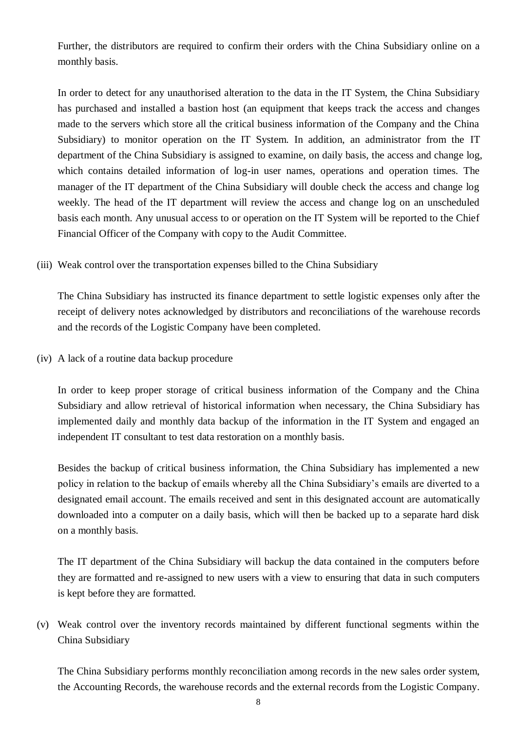Further, the distributors are required to confirm their orders with the China Subsidiary online on a monthly basis.

In order to detect for any unauthorised alteration to the data in the IT System, the China Subsidiary has purchased and installed a bastion host (an equipment that keeps track the access and changes made to the servers which store all the critical business information of the Company and the China Subsidiary) to monitor operation on the IT System. In addition, an administrator from the IT department of the China Subsidiary is assigned to examine, on daily basis, the access and change log, which contains detailed information of log-in user names, operations and operation times. The manager of the IT department of the China Subsidiary will double check the access and change log weekly. The head of the IT department will review the access and change log on an unscheduled basis each month. Any unusual access to or operation on the IT System will be reported to the Chief Financial Officer of the Company with copy to the Audit Committee.

(iii) Weak control over the transportation expenses billed to the China Subsidiary

The China Subsidiary has instructed its finance department to settle logistic expenses only after the receipt of delivery notes acknowledged by distributors and reconciliations of the warehouse records and the records of the Logistic Company have been completed.

(iv) A lack of a routine data backup procedure

In order to keep proper storage of critical business information of the Company and the China Subsidiary and allow retrieval of historical information when necessary, the China Subsidiary has implemented daily and monthly data backup of the information in the IT System and engaged an independent IT consultant to test data restoration on a monthly basis.

Besides the backup of critical business information, the China Subsidiary has implemented a new policy in relation to the backup of emails whereby all the China Subsidiary's emails are diverted to a designated email account. The emails received and sent in this designated account are automatically downloaded into a computer on a daily basis, which will then be backed up to a separate hard disk on a monthly basis.

The IT department of the China Subsidiary will backup the data contained in the computers before they are formatted and re-assigned to new users with a view to ensuring that data in such computers is kept before they are formatted.

(v) Weak control over the inventory records maintained by different functional segments within the China Subsidiary

The China Subsidiary performs monthly reconciliation among records in the new sales order system, the Accounting Records, the warehouse records and the external records from the Logistic Company.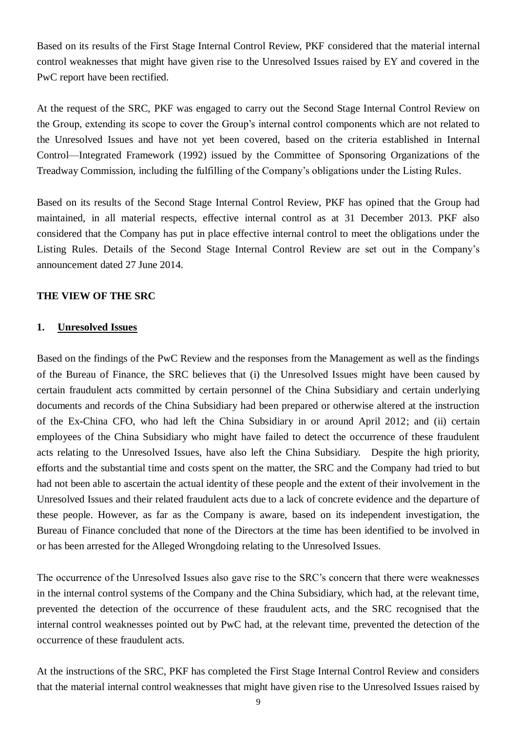Based on its results of the First Stage Internal Control Review, PKF considered that the material internal control weaknesses that might have given rise to the Unresolved Issues raised by EY and covered in the PwC report have been rectified.

At the request of the SRC, PKF was engaged to carry out the Second Stage Internal Control Review on the Group, extending its scope to cover the Group's internal control components which are not related to the Unresolved Issues and have not yet been covered, based on the criteria established in Internal Control—Integrated Framework (1992) issued by the Committee of Sponsoring Organizations of the Treadway Commission, including the fulfilling of the Company's obligations under the Listing Rules.

Based on its results of the Second Stage Internal Control Review, PKF has opined that the Group had maintained, in all material respects, effective internal control as at 31 December 2013. PKF also considered that the Company has put in place effective internal control to meet the obligations under the Listing Rules. Details of the Second Stage Internal Control Review are set out in the Company's announcement dated 27 June 2014.

# **THE VIEW OF THE SRC**

#### **1. Unresolved Issues**

Based on the findings of the PwC Review and the responses from the Management as well as the findings of the Bureau of Finance, the SRC believes that (i) the Unresolved Issues might have been caused by certain fraudulent acts committed by certain personnel of the China Subsidiary and certain underlying documents and records of the China Subsidiary had been prepared or otherwise altered at the instruction of the Ex-China CFO, who had left the China Subsidiary in or around April 2012; and (ii) certain employees of the China Subsidiary who might have failed to detect the occurrence of these fraudulent acts relating to the Unresolved Issues, have also left the China Subsidiary. Despite the high priority, efforts and the substantial time and costs spent on the matter, the SRC and the Company had tried to but had not been able to ascertain the actual identity of these people and the extent of their involvement in the Unresolved Issues and their related fraudulent acts due to a lack of concrete evidence and the departure of these people. However, as far as the Company is aware, based on its independent investigation, the Bureau of Finance concluded that none of the Directors at the time has been identified to be involved in or has been arrested for the Alleged Wrongdoing relating to the Unresolved Issues.

The occurrence of the Unresolved Issues also gave rise to the SRC's concern that there were weaknesses in the internal control systems of the Company and the China Subsidiary, which had, at the relevant time, prevented the detection of the occurrence of these fraudulent acts, and the SRC recognised that the internal control weaknesses pointed out by PwC had, at the relevant time, prevented the detection of the occurrence of these fraudulent acts.

At the instructions of the SRC, PKF has completed the First Stage Internal Control Review and considers that the material internal control weaknesses that might have given rise to the Unresolved Issues raised by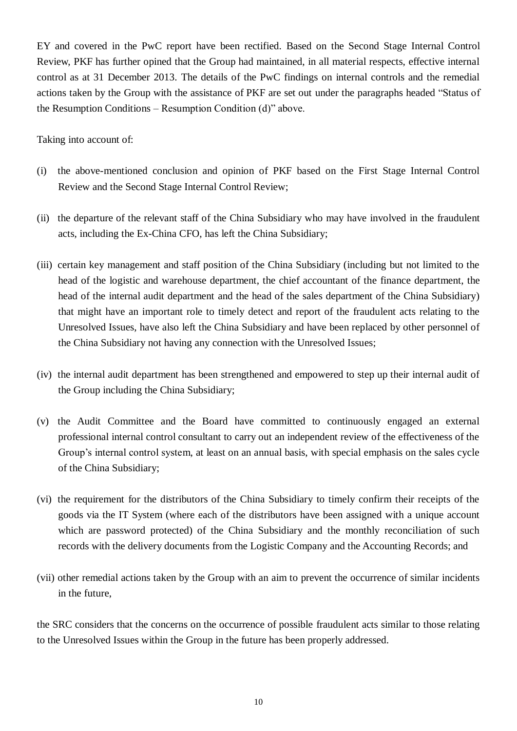EY and covered in the PwC report have been rectified. Based on the Second Stage Internal Control Review, PKF has further opined that the Group had maintained, in all material respects, effective internal control as at 31 December 2013. The details of the PwC findings on internal controls and the remedial actions taken by the Group with the assistance of PKF are set out under the paragraphs headed "Status of the Resumption Conditions – Resumption Condition (d)" above.

Taking into account of:

- (i) the above-mentioned conclusion and opinion of PKF based on the First Stage Internal Control Review and the Second Stage Internal Control Review;
- (ii) the departure of the relevant staff of the China Subsidiary who may have involved in the fraudulent acts, including the Ex-China CFO, has left the China Subsidiary;
- (iii) certain key management and staff position of the China Subsidiary (including but not limited to the head of the logistic and warehouse department, the chief accountant of the finance department, the head of the internal audit department and the head of the sales department of the China Subsidiary) that might have an important role to timely detect and report of the fraudulent acts relating to the Unresolved Issues, have also left the China Subsidiary and have been replaced by other personnel of the China Subsidiary not having any connection with the Unresolved Issues;
- (iv) the internal audit department has been strengthened and empowered to step up their internal audit of the Group including the China Subsidiary;
- (v) the Audit Committee and the Board have committed to continuously engaged an external professional internal control consultant to carry out an independent review of the effectiveness of the Group's internal control system, at least on an annual basis, with special emphasis on the sales cycle of the China Subsidiary;
- (vi) the requirement for the distributors of the China Subsidiary to timely confirm their receipts of the goods via the IT System (where each of the distributors have been assigned with a unique account which are password protected) of the China Subsidiary and the monthly reconciliation of such records with the delivery documents from the Logistic Company and the Accounting Records; and
- (vii) other remedial actions taken by the Group with an aim to prevent the occurrence of similar incidents in the future,

the SRC considers that the concerns on the occurrence of possible fraudulent acts similar to those relating to the Unresolved Issues within the Group in the future has been properly addressed.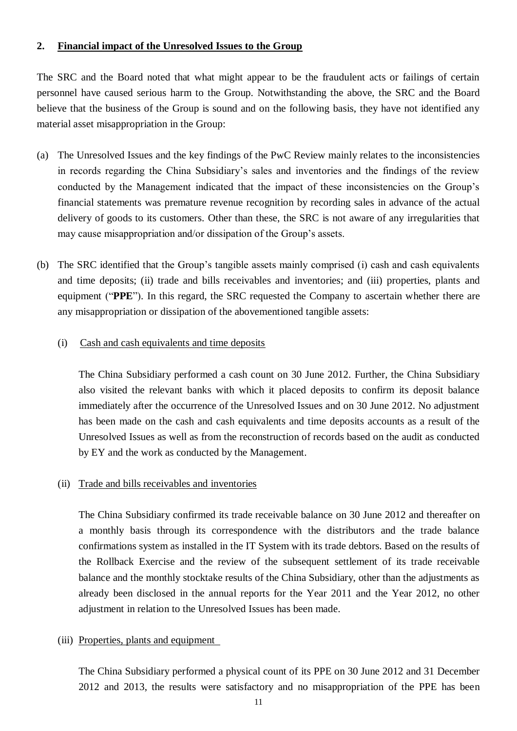#### **2. Financial impact of the Unresolved Issues to the Group**

The SRC and the Board noted that what might appear to be the fraudulent acts or failings of certain personnel have caused serious harm to the Group. Notwithstanding the above, the SRC and the Board believe that the business of the Group is sound and on the following basis, they have not identified any material asset misappropriation in the Group:

- (a) The Unresolved Issues and the key findings of the PwC Review mainly relates to the inconsistencies in records regarding the China Subsidiary's sales and inventories and the findings of the review conducted by the Management indicated that the impact of these inconsistencies on the Group's financial statements was premature revenue recognition by recording sales in advance of the actual delivery of goods to its customers. Other than these, the SRC is not aware of any irregularities that may cause misappropriation and/or dissipation of the Group's assets.
- (b) The SRC identified that the Group's tangible assets mainly comprised (i) cash and cash equivalents and time deposits; (ii) trade and bills receivables and inventories; and (iii) properties, plants and equipment ("**PPE**"). In this regard, the SRC requested the Company to ascertain whether there are any misappropriation or dissipation of the abovementioned tangible assets:
	- (i) Cash and cash equivalents and time deposits

The China Subsidiary performed a cash count on 30 June 2012. Further, the China Subsidiary also visited the relevant banks with which it placed deposits to confirm its deposit balance immediately after the occurrence of the Unresolved Issues and on 30 June 2012. No adjustment has been made on the cash and cash equivalents and time deposits accounts as a result of the Unresolved Issues as well as from the reconstruction of records based on the audit as conducted by EY and the work as conducted by the Management.

#### (ii) Trade and bills receivables and inventories

The China Subsidiary confirmed its trade receivable balance on 30 June 2012 and thereafter on a monthly basis through its correspondence with the distributors and the trade balance confirmations system as installed in the IT System with its trade debtors. Based on the results of the Rollback Exercise and the review of the subsequent settlement of its trade receivable balance and the monthly stocktake results of the China Subsidiary, other than the adjustments as already been disclosed in the annual reports for the Year 2011 and the Year 2012, no other adjustment in relation to the Unresolved Issues has been made.

#### (iii) Properties, plants and equipment

The China Subsidiary performed a physical count of its PPE on 30 June 2012 and 31 December 2012 and 2013, the results were satisfactory and no misappropriation of the PPE has been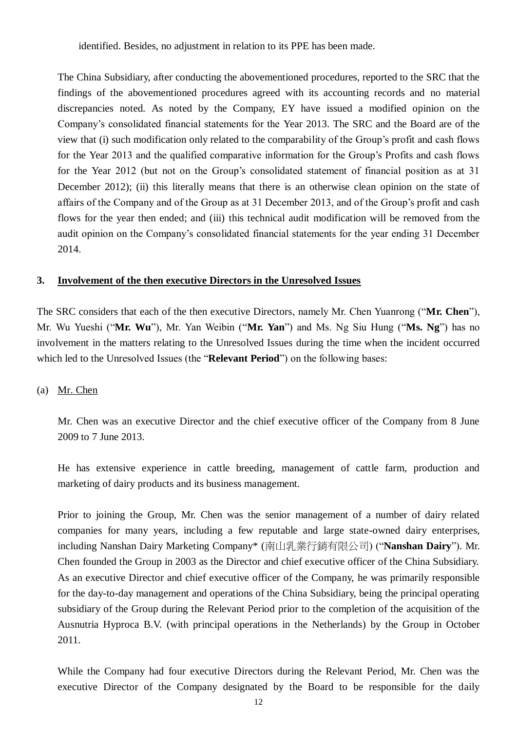identified. Besides, no adjustment in relation to its PPE has been made.

The China Subsidiary, after conducting the abovementioned procedures, reported to the SRC that the findings of the abovementioned procedures agreed with its accounting records and no material discrepancies noted. As noted by the Company, EY have issued a modified opinion on the Company's consolidated financial statements for the Year 2013. The SRC and the Board are of the view that (i) such modification only related to the comparability of the Group's profit and cash flows for the Year 2013 and the qualified comparative information for the Group's Profits and cash flows for the Year 2012 (but not on the Group's consolidated statement of financial position as at 31 December 2012); (ii) this literally means that there is an otherwise clean opinion on the state of affairs of the Company and of the Group as at 31 December 2013, and of the Group's profit and cash flows for the year then ended; and (iii) this technical audit modification will be removed from the audit opinion on the Company's consolidated financial statements for the year ending 31 December 2014.

# **3. Involvement of the then executive Directors in the Unresolved Issues**

The SRC considers that each of the then executive Directors, namely Mr. Chen Yuanrong ("**Mr. Chen**"), Mr. Wu Yueshi ("**Mr. Wu**"), Mr. Yan Weibin ("**Mr. Yan**") and Ms. Ng Siu Hung ("**Ms. Ng**") has no involvement in the matters relating to the Unresolved Issues during the time when the incident occurred which led to the Unresolved Issues (the "**Relevant Period**") on the following bases:

# (a) Mr. Chen

Mr. Chen was an executive Director and the chief executive officer of the Company from 8 June 2009 to 7 June 2013.

He has extensive experience in cattle breeding, management of cattle farm, production and marketing of dairy products and its business management.

Prior to joining the Group, Mr. Chen was the senior management of a number of dairy related companies for many years, including a few reputable and large state-owned dairy enterprises, including Nanshan Dairy Marketing Company\* (南山乳業行銷有限公司) ("**Nanshan Dairy**"). Mr. Chen founded the Group in 2003 as the Director and chief executive officer of the China Subsidiary. As an executive Director and chief executive officer of the Company, he was primarily responsible for the day-to-day management and operations of the China Subsidiary, being the principal operating subsidiary of the Group during the Relevant Period prior to the completion of the acquisition of the Ausnutria Hyproca B.V. (with principal operations in the Netherlands) by the Group in October 2011.

While the Company had four executive Directors during the Relevant Period, Mr. Chen was the executive Director of the Company designated by the Board to be responsible for the daily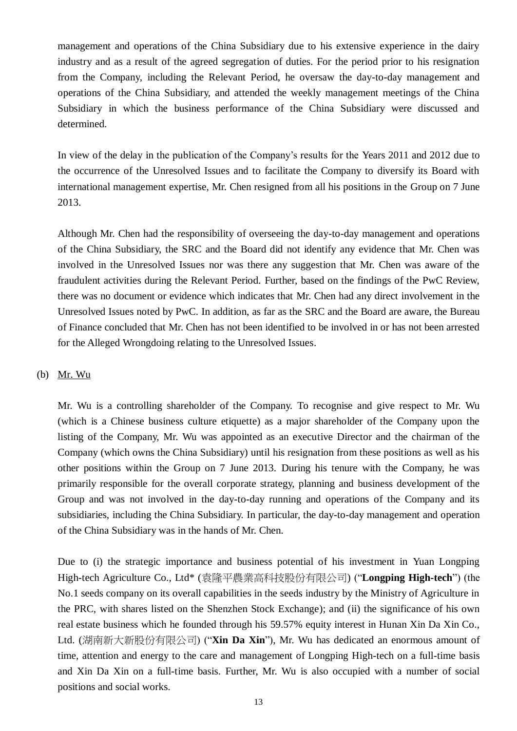management and operations of the China Subsidiary due to his extensive experience in the dairy industry and as a result of the agreed segregation of duties. For the period prior to his resignation from the Company, including the Relevant Period, he oversaw the day-to-day management and operations of the China Subsidiary, and attended the weekly management meetings of the China Subsidiary in which the business performance of the China Subsidiary were discussed and determined.

In view of the delay in the publication of the Company's results for the Years 2011 and 2012 due to the occurrence of the Unresolved Issues and to facilitate the Company to diversify its Board with international management expertise, Mr. Chen resigned from all his positions in the Group on 7 June 2013.

Although Mr. Chen had the responsibility of overseeing the day-to-day management and operations of the China Subsidiary, the SRC and the Board did not identify any evidence that Mr. Chen was involved in the Unresolved Issues nor was there any suggestion that Mr. Chen was aware of the fraudulent activities during the Relevant Period. Further, based on the findings of the PwC Review, there was no document or evidence which indicates that Mr. Chen had any direct involvement in the Unresolved Issues noted by PwC. In addition, as far as the SRC and the Board are aware, the Bureau of Finance concluded that Mr. Chen has not been identified to be involved in or has not been arrested for the Alleged Wrongdoing relating to the Unresolved Issues.

# (b) Mr. Wu

Mr. Wu is a controlling shareholder of the Company. To recognise and give respect to Mr. Wu (which is a Chinese business culture etiquette) as a major shareholder of the Company upon the listing of the Company, Mr. Wu was appointed as an executive Director and the chairman of the Company (which owns the China Subsidiary) until his resignation from these positions as well as his other positions within the Group on 7 June 2013. During his tenure with the Company, he was primarily responsible for the overall corporate strategy, planning and business development of the Group and was not involved in the day-to-day running and operations of the Company and its subsidiaries, including the China Subsidiary. In particular, the day-to-day management and operation of the China Subsidiary was in the hands of Mr. Chen.

Due to (i) the strategic importance and business potential of his investment in Yuan Longping High-tech Agriculture Co., Ltd\* (袁隆平農業高科技股份有限公司) ("**Longping High-tech**") (the No.1 seeds company on its overall capabilities in the seeds industry by the Ministry of Agriculture in the PRC, with shares listed on the Shenzhen Stock Exchange); and (ii) the significance of his own real estate business which he founded through his 59.57% equity interest in Hunan Xin Da Xin Co., Ltd. (湖南新大新股份有限公司) ("**Xin Da Xin**"), Mr. Wu has dedicated an enormous amount of time, attention and energy to the care and management of Longping High-tech on a full-time basis and Xin Da Xin on a full-time basis. Further, Mr. Wu is also occupied with a number of social positions and social works.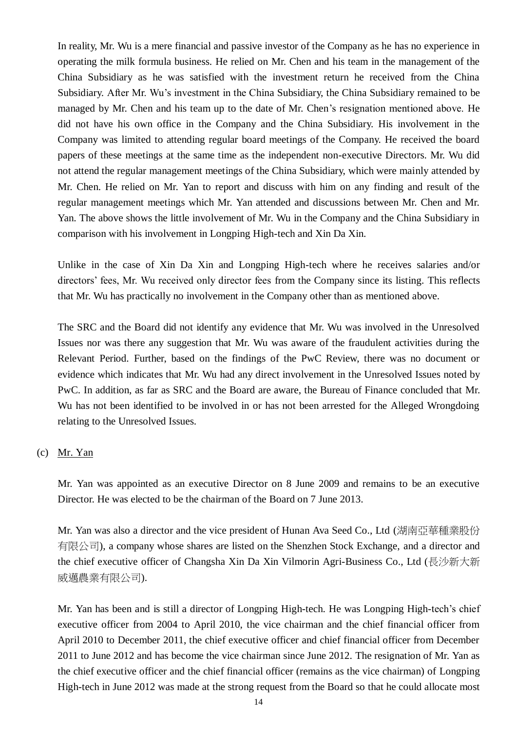In reality, Mr. Wu is a mere financial and passive investor of the Company as he has no experience in operating the milk formula business. He relied on Mr. Chen and his team in the management of the China Subsidiary as he was satisfied with the investment return he received from the China Subsidiary. After Mr. Wu's investment in the China Subsidiary, the China Subsidiary remained to be managed by Mr. Chen and his team up to the date of Mr. Chen's resignation mentioned above. He did not have his own office in the Company and the China Subsidiary. His involvement in the Company was limited to attending regular board meetings of the Company. He received the board papers of these meetings at the same time as the independent non-executive Directors. Mr. Wu did not attend the regular management meetings of the China Subsidiary, which were mainly attended by Mr. Chen. He relied on Mr. Yan to report and discuss with him on any finding and result of the regular management meetings which Mr. Yan attended and discussions between Mr. Chen and Mr. Yan. The above shows the little involvement of Mr. Wu in the Company and the China Subsidiary in comparison with his involvement in Longping High-tech and Xin Da Xin.

Unlike in the case of Xin Da Xin and Longping High-tech where he receives salaries and/or directors' fees, Mr. Wu received only director fees from the Company since its listing. This reflects that Mr. Wu has practically no involvement in the Company other than as mentioned above.

The SRC and the Board did not identify any evidence that Mr. Wu was involved in the Unresolved Issues nor was there any suggestion that Mr. Wu was aware of the fraudulent activities during the Relevant Period. Further, based on the findings of the PwC Review, there was no document or evidence which indicates that Mr. Wu had any direct involvement in the Unresolved Issues noted by PwC. In addition, as far as SRC and the Board are aware, the Bureau of Finance concluded that Mr. Wu has not been identified to be involved in or has not been arrested for the Alleged Wrongdoing relating to the Unresolved Issues.

# (c) Mr. Yan

Mr. Yan was appointed as an executive Director on 8 June 2009 and remains to be an executive Director. He was elected to be the chairman of the Board on 7 June 2013.

Mr. Yan was also a director and the vice president of Hunan Ava Seed Co., Ltd (湖南亞華種業股份 有限公司), a company whose shares are listed on the Shenzhen Stock Exchange, and a director and the chief executive officer of Changsha Xin Da Xin Vilmorin Agri-Business Co., Ltd (長沙新大新 威邁農業有限公司).

Mr. Yan has been and is still a director of Longping High-tech. He was Longping High-tech's chief executive officer from 2004 to April 2010, the vice chairman and the chief financial officer from April 2010 to December 2011, the chief executive officer and chief financial officer from December 2011 to June 2012 and has become the vice chairman since June 2012. The resignation of Mr. Yan as the chief executive officer and the chief financial officer (remains as the vice chairman) of Longping High-tech in June 2012 was made at the strong request from the Board so that he could allocate most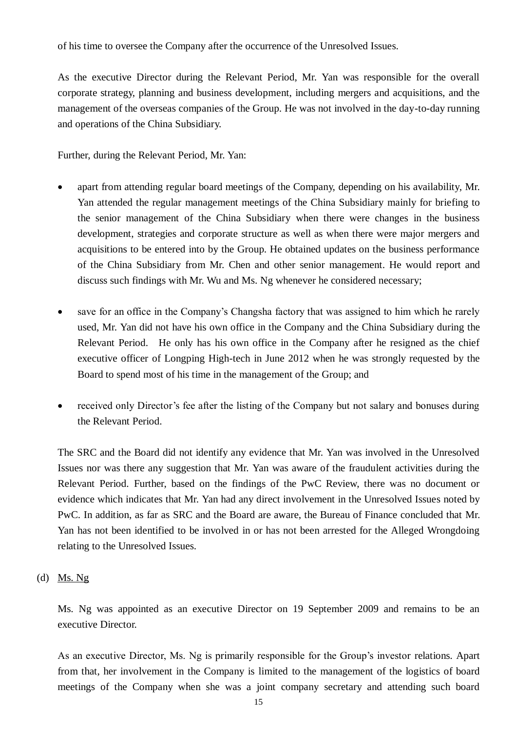of his time to oversee the Company after the occurrence of the Unresolved Issues.

As the executive Director during the Relevant Period, Mr. Yan was responsible for the overall corporate strategy, planning and business development, including mergers and acquisitions, and the management of the overseas companies of the Group. He was not involved in the day-to-day running and operations of the China Subsidiary.

Further, during the Relevant Period, Mr. Yan:

- apart from attending regular board meetings of the Company, depending on his availability, Mr. Yan attended the regular management meetings of the China Subsidiary mainly for briefing to the senior management of the China Subsidiary when there were changes in the business development, strategies and corporate structure as well as when there were major mergers and acquisitions to be entered into by the Group. He obtained updates on the business performance of the China Subsidiary from Mr. Chen and other senior management. He would report and discuss such findings with Mr. Wu and Ms. Ng whenever he considered necessary;
- save for an office in the Company's Changsha factory that was assigned to him which he rarely used, Mr. Yan did not have his own office in the Company and the China Subsidiary during the Relevant Period. He only has his own office in the Company after he resigned as the chief executive officer of Longping High-tech in June 2012 when he was strongly requested by the Board to spend most of his time in the management of the Group; and
- received only Director's fee after the listing of the Company but not salary and bonuses during the Relevant Period.

The SRC and the Board did not identify any evidence that Mr. Yan was involved in the Unresolved Issues nor was there any suggestion that Mr. Yan was aware of the fraudulent activities during the Relevant Period. Further, based on the findings of the PwC Review, there was no document or evidence which indicates that Mr. Yan had any direct involvement in the Unresolved Issues noted by PwC. In addition, as far as SRC and the Board are aware, the Bureau of Finance concluded that Mr. Yan has not been identified to be involved in or has not been arrested for the Alleged Wrongdoing relating to the Unresolved Issues.

# (d) Ms.  $Ng$

Ms. Ng was appointed as an executive Director on 19 September 2009 and remains to be an executive Director.

As an executive Director, Ms. Ng is primarily responsible for the Group's investor relations. Apart from that, her involvement in the Company is limited to the management of the logistics of board meetings of the Company when she was a joint company secretary and attending such board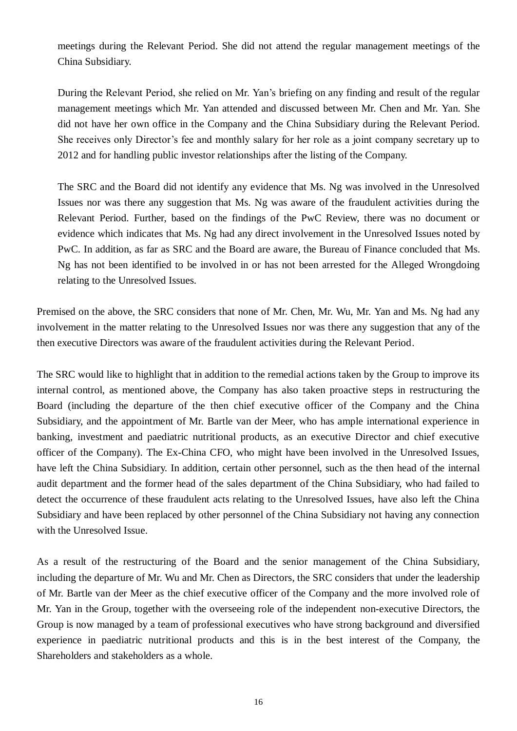meetings during the Relevant Period. She did not attend the regular management meetings of the China Subsidiary.

During the Relevant Period, she relied on Mr. Yan's briefing on any finding and result of the regular management meetings which Mr. Yan attended and discussed between Mr. Chen and Mr. Yan. She did not have her own office in the Company and the China Subsidiary during the Relevant Period. She receives only Director's fee and monthly salary for her role as a joint company secretary up to 2012 and for handling public investor relationships after the listing of the Company.

The SRC and the Board did not identify any evidence that Ms. Ng was involved in the Unresolved Issues nor was there any suggestion that Ms. Ng was aware of the fraudulent activities during the Relevant Period. Further, based on the findings of the PwC Review, there was no document or evidence which indicates that Ms. Ng had any direct involvement in the Unresolved Issues noted by PwC. In addition, as far as SRC and the Board are aware, the Bureau of Finance concluded that Ms. Ng has not been identified to be involved in or has not been arrested for the Alleged Wrongdoing relating to the Unresolved Issues.

Premised on the above, the SRC considers that none of Mr. Chen, Mr. Wu, Mr. Yan and Ms. Ng had any involvement in the matter relating to the Unresolved Issues nor was there any suggestion that any of the then executive Directors was aware of the fraudulent activities during the Relevant Period.

The SRC would like to highlight that in addition to the remedial actions taken by the Group to improve its internal control, as mentioned above, the Company has also taken proactive steps in restructuring the Board (including the departure of the then chief executive officer of the Company and the China Subsidiary, and the appointment of Mr. Bartle van der Meer, who has ample international experience in banking, investment and paediatric nutritional products, as an executive Director and chief executive officer of the Company). The Ex-China CFO, who might have been involved in the Unresolved Issues, have left the China Subsidiary. In addition, certain other personnel, such as the then head of the internal audit department and the former head of the sales department of the China Subsidiary, who had failed to detect the occurrence of these fraudulent acts relating to the Unresolved Issues, have also left the China Subsidiary and have been replaced by other personnel of the China Subsidiary not having any connection with the Unresolved Issue.

As a result of the restructuring of the Board and the senior management of the China Subsidiary, including the departure of Mr. Wu and Mr. Chen as Directors, the SRC considers that under the leadership of Mr. Bartle van der Meer as the chief executive officer of the Company and the more involved role of Mr. Yan in the Group, together with the overseeing role of the independent non-executive Directors, the Group is now managed by a team of professional executives who have strong background and diversified experience in paediatric nutritional products and this is in the best interest of the Company, the Shareholders and stakeholders as a whole.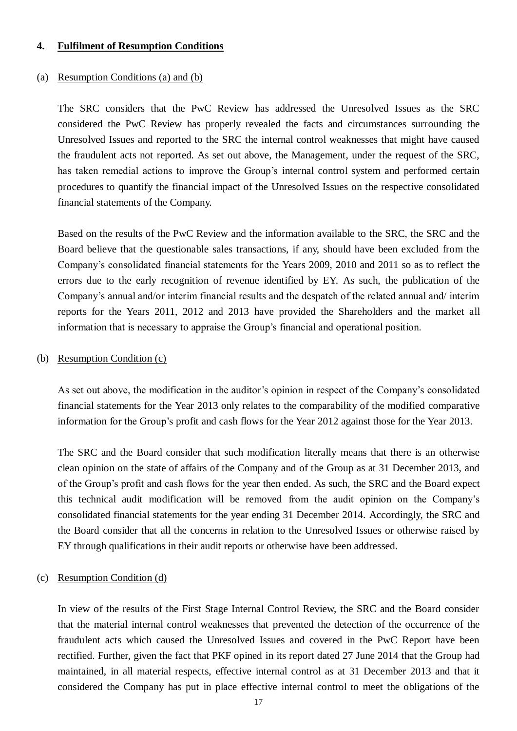#### **4. Fulfilment of Resumption Conditions**

#### (a) Resumption Conditions (a) and (b)

The SRC considers that the PwC Review has addressed the Unresolved Issues as the SRC considered the PwC Review has properly revealed the facts and circumstances surrounding the Unresolved Issues and reported to the SRC the internal control weaknesses that might have caused the fraudulent acts not reported. As set out above, the Management, under the request of the SRC, has taken remedial actions to improve the Group's internal control system and performed certain procedures to quantify the financial impact of the Unresolved Issues on the respective consolidated financial statements of the Company.

Based on the results of the PwC Review and the information available to the SRC, the SRC and the Board believe that the questionable sales transactions, if any, should have been excluded from the Company's consolidated financial statements for the Years 2009, 2010 and 2011 so as to reflect the errors due to the early recognition of revenue identified by EY. As such, the publication of the Company's annual and/or interim financial results and the despatch of the related annual and/ interim reports for the Years 2011, 2012 and 2013 have provided the Shareholders and the market all information that is necessary to appraise the Group's financial and operational position.

#### (b) Resumption Condition (c)

As set out above, the modification in the auditor's opinion in respect of the Company's consolidated financial statements for the Year 2013 only relates to the comparability of the modified comparative information for the Group's profit and cash flows for the Year 2012 against those for the Year 2013.

The SRC and the Board consider that such modification literally means that there is an otherwise clean opinion on the state of affairs of the Company and of the Group as at 31 December 2013, and of the Group's profit and cash flows for the year then ended. As such, the SRC and the Board expect this technical audit modification will be removed from the audit opinion on the Company's consolidated financial statements for the year ending 31 December 2014. Accordingly, the SRC and the Board consider that all the concerns in relation to the Unresolved Issues or otherwise raised by EY through qualifications in their audit reports or otherwise have been addressed.

#### (c) Resumption Condition (d)

In view of the results of the First Stage Internal Control Review, the SRC and the Board consider that the material internal control weaknesses that prevented the detection of the occurrence of the fraudulent acts which caused the Unresolved Issues and covered in the PwC Report have been rectified. Further, given the fact that PKF opined in its report dated 27 June 2014 that the Group had maintained, in all material respects, effective internal control as at 31 December 2013 and that it considered the Company has put in place effective internal control to meet the obligations of the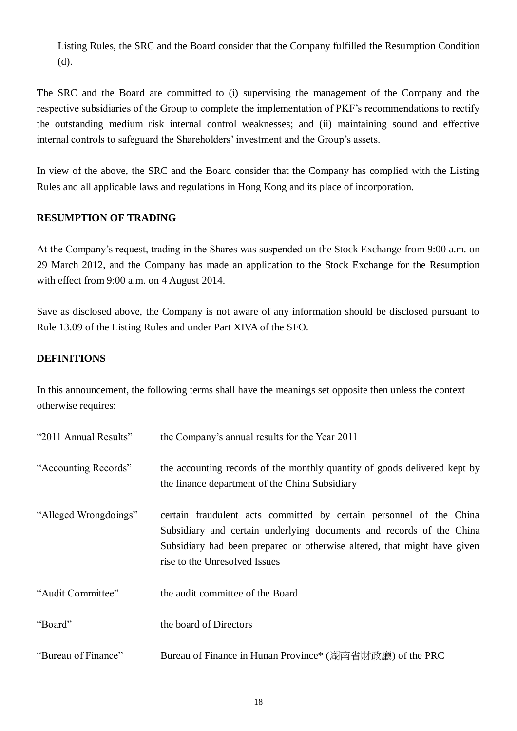Listing Rules, the SRC and the Board consider that the Company fulfilled the Resumption Condition (d).

The SRC and the Board are committed to (i) supervising the management of the Company and the respective subsidiaries of the Group to complete the implementation of PKF's recommendations to rectify the outstanding medium risk internal control weaknesses; and (ii) maintaining sound and effective internal controls to safeguard the Shareholders' investment and the Group's assets.

In view of the above, the SRC and the Board consider that the Company has complied with the Listing Rules and all applicable laws and regulations in Hong Kong and its place of incorporation.

# **RESUMPTION OF TRADING**

At the Company's request, trading in the Shares was suspended on the Stock Exchange from 9:00 a.m. on 29 March 2012, and the Company has made an application to the Stock Exchange for the Resumption with effect from 9:00 a.m. on 4 August 2014.

Save as disclosed above, the Company is not aware of any information should be disclosed pursuant to Rule 13.09 of the Listing Rules and under Part XIVA of the SFO.

# **DEFINITIONS**

In this announcement, the following terms shall have the meanings set opposite then unless the context otherwise requires:

| "2011 Annual Results" | the Company's annual results for the Year 2011                                                                                                                                                                                                           |
|-----------------------|----------------------------------------------------------------------------------------------------------------------------------------------------------------------------------------------------------------------------------------------------------|
| "Accounting Records"  | the accounting records of the monthly quantity of goods delivered kept by<br>the finance department of the China Subsidiary                                                                                                                              |
| "Alleged Wrongdoings" | certain fraudulent acts committed by certain personnel of the China<br>Subsidiary and certain underlying documents and records of the China<br>Subsidiary had been prepared or otherwise altered, that might have given<br>rise to the Unresolved Issues |
| "Audit Committee"     | the audit committee of the Board                                                                                                                                                                                                                         |
| "Board"               | the board of Directors                                                                                                                                                                                                                                   |
| "Bureau of Finance"   | Bureau of Finance in Hunan Province* (湖南省財政廳) of the PRC                                                                                                                                                                                                 |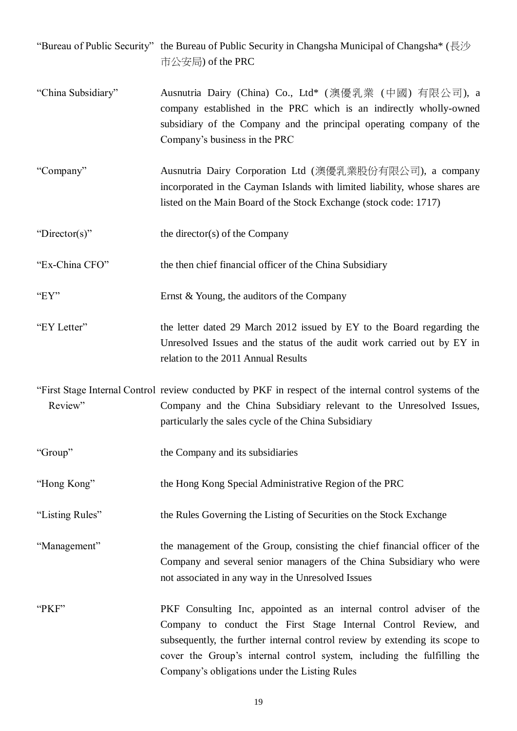"Bureau of Public Security" the Bureau of Public Security in Changsha Municipal of Changsha\* (長沙 市公安局) of the PRC

- "China Subsidiary" Ausnutria Dairy (China) Co., Ltd\* (澳優乳業 (中國) 有限公司), a company established in the PRC which is an indirectly wholly-owned subsidiary of the Company and the principal operating company of the Company's business in the PRC
- "Company" Ausnutria Dairy Corporation Ltd (澳優乳業股份有限公司), a company incorporated in the Cayman Islands with limited liability, whose shares are listed on the Main Board of the Stock Exchange (stock code: 1717)
- "Director(s)" the director(s) of the Company

"Ex-China CFO" the then chief financial officer of the China Subsidiary

- "EY" Ernst & Young, the auditors of the Company
- "EY Letter" the letter dated 29 March 2012 issued by EY to the Board regarding the Unresolved Issues and the status of the audit work carried out by EY in relation to the 2011 Annual Results

"First Stage Internal Control review conducted by PKF in respect of the internal control systems of the Review" Company and the China Subsidiary relevant to the Unresolved Issues, particularly the sales cycle of the China Subsidiary

"Group" the Company and its subsidiaries

"Hong Kong" the Hong Kong Special Administrative Region of the PRC

"Listing Rules" the Rules Governing the Listing of Securities on the Stock Exchange

"Management" the management of the Group, consisting the chief financial officer of the Company and several senior managers of the China Subsidiary who were not associated in any way in the Unresolved Issues

"PKF" PKF Consulting Inc, appointed as an internal control adviser of the Company to conduct the First Stage Internal Control Review, and subsequently, the further internal control review by extending its scope to cover the Group's internal control system, including the fulfilling the Company's obligations under the Listing Rules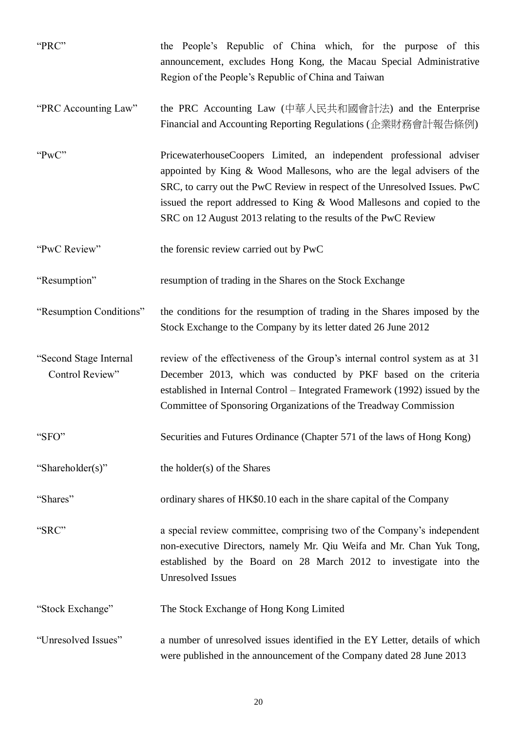| "PRC"                                     | the People's Republic of China which, for the purpose of this<br>announcement, excludes Hong Kong, the Macau Special Administrative<br>Region of the People's Republic of China and Taiwan                                                                                                                                                                             |
|-------------------------------------------|------------------------------------------------------------------------------------------------------------------------------------------------------------------------------------------------------------------------------------------------------------------------------------------------------------------------------------------------------------------------|
| "PRC Accounting Law"                      | the PRC Accounting Law (中華人民共和國會計法) and the Enterprise<br>Financial and Accounting Reporting Regulations (企業財務會計報告條例)                                                                                                                                                                                                                                                  |
| "Pw $C$ "                                 | PricewaterhouseCoopers Limited, an independent professional adviser<br>appointed by King & Wood Mallesons, who are the legal advisers of the<br>SRC, to carry out the PwC Review in respect of the Unresolved Issues. PwC<br>issued the report addressed to King & Wood Mallesons and copied to the<br>SRC on 12 August 2013 relating to the results of the PwC Review |
| "PwC Review"                              | the forensic review carried out by PwC                                                                                                                                                                                                                                                                                                                                 |
| "Resumption"                              | resumption of trading in the Shares on the Stock Exchange                                                                                                                                                                                                                                                                                                              |
| "Resumption Conditions"                   | the conditions for the resumption of trading in the Shares imposed by the<br>Stock Exchange to the Company by its letter dated 26 June 2012                                                                                                                                                                                                                            |
| "Second Stage Internal<br>Control Review" | review of the effectiveness of the Group's internal control system as at 31<br>December 2013, which was conducted by PKF based on the criteria<br>established in Internal Control – Integrated Framework (1992) issued by the<br>Committee of Sponsoring Organizations of the Treadway Commission                                                                      |
| "SFO"                                     | Securities and Futures Ordinance (Chapter 571 of the laws of Hong Kong)                                                                                                                                                                                                                                                                                                |
| "Shareholder(s)"                          | the holder(s) of the Shares                                                                                                                                                                                                                                                                                                                                            |
| "Shares"                                  | ordinary shares of HK\$0.10 each in the share capital of the Company                                                                                                                                                                                                                                                                                                   |
| "SRC"                                     | a special review committee, comprising two of the Company's independent<br>non-executive Directors, namely Mr. Qiu Weifa and Mr. Chan Yuk Tong,<br>established by the Board on 28 March 2012 to investigate into the<br><b>Unresolved Issues</b>                                                                                                                       |
| "Stock Exchange"                          | The Stock Exchange of Hong Kong Limited                                                                                                                                                                                                                                                                                                                                |
| "Unresolved Issues"                       | a number of unresolved issues identified in the EY Letter, details of which<br>were published in the announcement of the Company dated 28 June 2013                                                                                                                                                                                                                    |